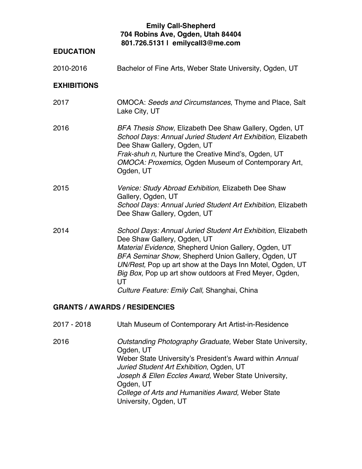## **Emily Call-Shepherd 704 Robins Ave, Ogden, Utah 84404 801.726.5131 | emilycall3@me.com**

# **EDUCATION**

2010-2016 Bachelor of Fine Arts, Weber State University, Ogden, UT

#### **EXHIBITIONS**

| 2017 | OMOCA: Seeds and Circumstances, Thyme and Place, Salt<br>Lake City, UT                                                                                                                                                                                                                                                                                                                   |
|------|------------------------------------------------------------------------------------------------------------------------------------------------------------------------------------------------------------------------------------------------------------------------------------------------------------------------------------------------------------------------------------------|
| 2016 | BFA Thesis Show, Elizabeth Dee Shaw Gallery, Ogden, UT<br>School Days: Annual Juried Student Art Exhibition, Elizabeth<br>Dee Shaw Gallery, Ogden, UT<br>Frak-shuh n, Nurture the Creative Mind's, Ogden, UT<br>OMOCA: Proxemics, Ogden Museum of Contemporary Art,<br>Ogden, UT                                                                                                         |
| 2015 | Venice: Study Abroad Exhibition, Elizabeth Dee Shaw<br>Gallery, Ogden, UT<br>School Days: Annual Juried Student Art Exhibition, Elizabeth<br>Dee Shaw Gallery, Ogden, UT                                                                                                                                                                                                                 |
| 2014 | School Days: Annual Juried Student Art Exhibition, Elizabeth<br>Dee Shaw Gallery, Ogden, UT<br>Material Evidence, Shepherd Union Gallery, Ogden, UT<br>BFA Seminar Show, Shepherd Union Gallery, Ogden, UT<br>UN/Rest, Pop up art show at the Days Inn Motel, Ogden, UT<br>Big Box, Pop up art show outdoors at Fred Meyer, Ogden,<br>UT<br>Culture Feature: Emily Call, Shanghai, China |

### **GRANTS / AWARDS / RESIDENCIES**

| 2016 | Outstanding Photography Graduate, Weber State University,<br>Ogden, UT                               |
|------|------------------------------------------------------------------------------------------------------|
|      | Weber State University's President's Award within Annual<br>Juried Student Art Exhibition, Ogden, UT |
|      | Joseph & Ellen Eccles Award, Weber State University,                                                 |
|      | Ogden, UT                                                                                            |
|      | College of Arts and Humanities Award, Weber State                                                    |
|      | University, Ogden, UT                                                                                |

2017 - 2018 Utah Museum of Contemporary Art Artist-in-Residence